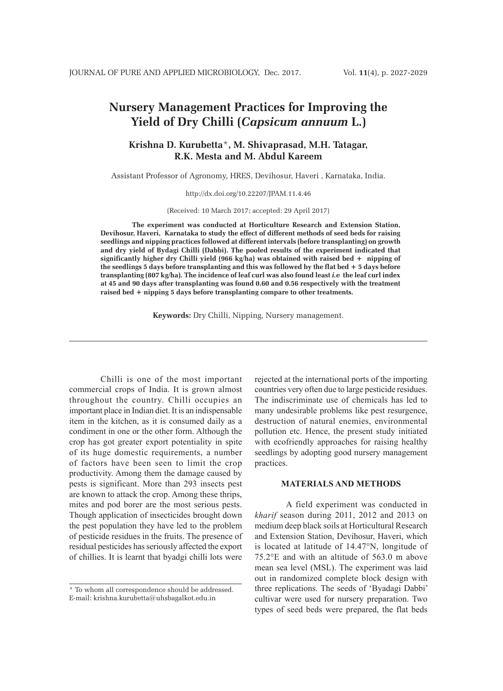# **Nursery Management Practices for Improving the Yield of Dry Chilli (***Capsicum annuum* **L.)**

# **Krishna D. Kurubetta**\***, M. Shivaprasad, M.H. Tatagar, R.K. Mesta and M. Abdul Kareem**

Assistant Professor of Agronomy, HRES, Devihosur, Haveri , Karnataka, India.

http://dx.doi.org/10.22207/JPAM.11.4.46

(Received: 10 March 2017; accepted: 29 April 2017)

**The experiment was conducted at Horticulture Research and Extension Station, Devihosur, Haveri, Karnataka to study the effect of different methods of seed beds for raising seedlings and nipping practices followed at different intervals (before transplanting) on growth and dry yield of Bydagi Chilli (Dabbi). The pooled results of the experiment indicated that significantly higher dry Chilli yield (966 kg/ha) was obtained with raised bed + nipping of the seedlings 5 days before transplanting and this was followed by the flat bed + 5 days before transplanting (807 kg/ha). The incidence of leaf curl was also found least** *i.e* **the leaf curl index at 45 and 90 days after transplanting was found 0.60 and 0.56 respectively with the treatment raised bed + nipping 5 days before transplanting compare to other treatments.**

**Keywords:** Dry Chilli, Nipping, Nursery management.

Chilli is one of the most important commercial crops of India. It is grown almost throughout the country. Chilli occupies an important place in Indian diet. It is an indispensable item in the kitchen, as it is consumed daily as a condiment in one or the other form. Although the crop has got greater export potentiality in spite of its huge domestic requirements, a number of factors have been seen to limit the crop productivity. Among them the damage caused by pests is significant. More than 293 insects pest are known to attack the crop. Among these thrips, mites and pod borer are the most serious pests. Though application of insecticides brought down the pest population they have led to the problem of pesticide residues in the fruits. The presence of residual pesticides has seriously affected the export of chillies. It is learnt that byadgi chilli lots were rejected at the international ports of the importing countries very often due to large pesticide residues. The indiscriminate use of chemicals has led to many undesirable problems like pest resurgence, destruction of natural enemies, environmental pollution etc. Hence, the present study initiated with ecofriendly approaches for raising healthy seedlings by adopting good nursery management practices.

#### **MATERIALS AND METHODS**

A field experiment was conducted in *kharif* season during 2011, 2012 and 2013 on medium deep black soils at Horticultural Research and Extension Station, Devihosur, Haveri, which is located at latitude of 14.47°N, longitude of 75.2°E and with an altitude of 563.0 m above mean sea level (MSL). The experiment was laid out in randomized complete block design with three replications. The seeds of 'Byadagi Dabbi' cultivar were used for nursery preparation. Two types of seed beds were prepared, the flat beds

<sup>\*</sup> To whom all correspondence should be addressed. E-mail: krishna.kurubetta@uhsbagalkot.edu.in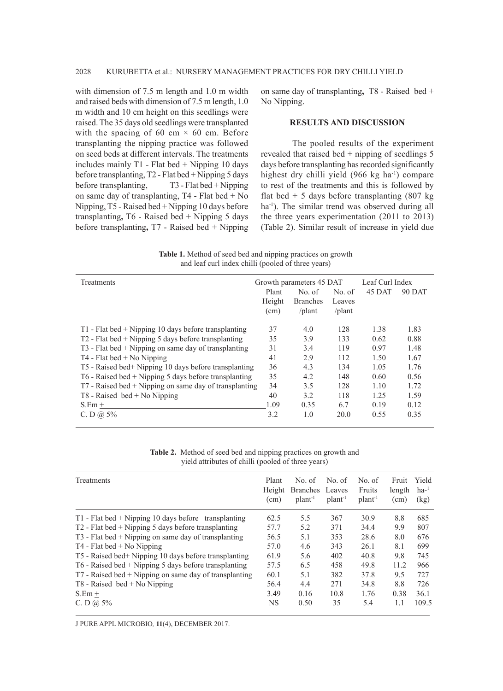with dimension of 7.5 m length and 1.0 m width and raised beds with dimension of 7.5 m length, 1.0 m width and 10 cm height on this seedlings were raised. The 35 days old seedlings were transplanted with the spacing of 60 cm  $\times$  60 cm. Before transplanting the nipping practice was followed on seed beds at different intervals. The treatments includes mainly T1 - Flat bed + Nipping 10 days before transplanting, T2 - Flat bed + Nipping 5 days before transplanting, T3 - Flat bed + Nipping on same day of transplanting, T4 - Flat bed + No Nipping, T5 - Raised bed + Nipping 10 days before transplanting**,** T6 - Raised bed + Nipping 5 days before transplanting**,** T7 - Raised bed + Nipping on same day of transplanting**,** T8 - Raised bed + No Nipping.

## **RESULTS AND DISCUSSION**

The pooled results of the experiment revealed that raised bed + nipping of seedlings 5 days before transplanting has recorded significantly highest dry chilli yield (966 kg ha<sup>-1</sup>) compare to rest of the treatments and this is followed by flat bed  $+ 5$  days before transplanting (807 kg) ha<sup>-1</sup>). The similar trend was observed during all the three years experimentation (2011 to 2013) (Table 2). Similar result of increase in yield due

**Table 1.** Method of seed bed and nipping practices on growth and leaf curl index chilli (pooled of three years)

| Treatments                                               |        | Growth parameters 45 DAT | Leaf Curl Index |        |        |
|----------------------------------------------------------|--------|--------------------------|-----------------|--------|--------|
|                                                          | Plant  | No. of                   | No. of          | 45 DAT | 90 DAT |
|                                                          | Height | <b>Branches</b>          | Leaves          |        |        |
|                                                          | (cm)   | $\theta$ lant            | $\sqrt{$ plant  |        |        |
| $T1$ - Flat bed + Nipping 10 days before transplanting   | 37     | 4.0                      | 128             | 1.38   | 1.83   |
| $T2$ - Flat bed + Nipping 5 days before transplanting    | 35     | 3.9                      | 133             | 0.62   | 0.88   |
| $T3$ - Flat bed + Nipping on same day of transplanting   | 31     | 3.4                      | 119             | 0.97   | 1.48   |
| $T4$ - Flat bed + No Nipping                             | 41     | 2.9                      | 112             | 1.50   | 1.67   |
| T5 - Raised bed+ Nipping 10 days before transplanting    | 36     | 4.3                      | 134             | 1.05   | 1.76   |
| $T6$ - Raised bed + Nipping 5 days before transplanting  | 35     | 4.2                      | 148             | 0.60   | 0.56   |
| $T7$ - Raised bed + Nipping on same day of transplanting | 34     | 3.5                      | 128             | 1.10   | 1.72   |
| $T8$ - Raised bed + No Nipping                           | 40     | 3.2                      | 118             | 1.25   | 1.59   |
| $S.Em +$                                                 | 1.09   | 0.35                     | 6.7             | 0.19   | 0.12   |
| C. D $\omega$ 5%                                         | 3.2    | 1.0                      | 20.0            | 0.55   | 0.35   |

**Table 2.** Method of seed bed and nipping practices on growth and yield attributes of chilli (pooled of three years)

| Treatments                                               | Plant<br>Height<br>(cm) | No. of<br>Branches Leaves<br>plan <sup>1</sup> | No. of<br>plant <sup>-1</sup> | No. of<br>Fruits<br>plan <sup>1</sup> | Fruit<br>length<br>(cm) | Yield<br>$ha-1$<br>(kg) |
|----------------------------------------------------------|-------------------------|------------------------------------------------|-------------------------------|---------------------------------------|-------------------------|-------------------------|
| T1 - Flat bed $+$ Nipping 10 days before transplanting   | 62.5                    | 5.5                                            | 367                           | 30.9                                  | 8.8                     | 685                     |
| $T2$ - Flat bed + Nipping 5 days before transplanting    | 57.7                    | 5.2                                            | 371                           | 34.4                                  | 9.9                     | 807                     |
| $T3$ - Flat bed + Nipping on same day of transplanting   | 56.5                    | 5.1                                            | 353                           | 28.6                                  | 8.0                     | 676                     |
| $T4$ - Flat bed + No Nipping                             | 57.0                    | 4.6                                            | 343                           | 26.1                                  | 8.1                     | 699                     |
| T5 - Raised bed+ Nipping 10 days before transplanting    | 61.9                    | 5.6                                            | 402                           | 40.8                                  | 9.8                     | 745                     |
| T6 - Raised bed + Nipping 5 days before transplanting    | 57.5                    | 6.5                                            | 458                           | 49.8                                  | 11.2                    | 966                     |
| $T7$ - Raised bed + Nipping on same day of transplanting | 60.1                    | 5.1                                            | 382                           | 37.8                                  | 9.5                     | 727                     |
| $T8$ - Raised bed + No Nipping                           | 56.4                    | 4.4                                            | 271                           | 34.8                                  | 8.8                     | 726                     |
| $S.Em +$                                                 | 3.49                    | 0.16                                           | 10.8                          | 1.76                                  | 0.38                    | 36.1                    |
| C. D $(a)$ 5%                                            | <b>NS</b>               | 0.50                                           | 35                            | 5.4                                   | 1.1                     | 109.5                   |

J PURE APPL MICROBIO*,* **11**(4), DECEMBER 2017.